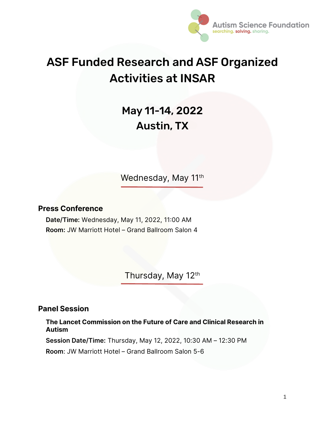

# ASF Funded Research and ASF Organized Activities at INSAR

# May 11-14, 2022 Austin, TX

Wednesday, May 11<sup>th</sup>

#### Press Conference

Date/Time: Wednesday, May 11, 2022, 11:00 AM Room: JW Marriott Hotel – Grand Ballroom Salon 4

Thursday, May 12th

#### Panel Session

The Lancet Commission on the Future of Care and Clinical Research in Autism

Session Date/Time: Thursday, May 12, 2022, 10:30 AM – 12:30 PM

Room: JW Marriott Hotel – Grand Ballroom Salon 5-6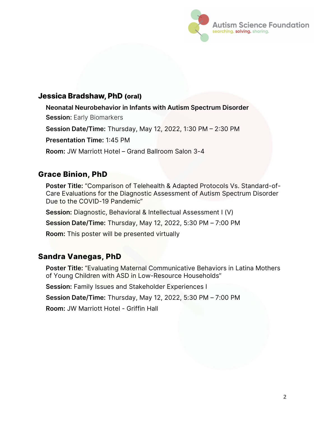

#### Jessica Bradshaw, PhD (oral)

Neonatal Neurobehavior in Infants with Autism Spectrum Disorder **Session: Early Biomarkers** 

Session Date/Time: Thursday, May 12, 2022, 1:30 PM  $-$  2:30 PM

Presentation Time: 1:45 PM

Room: JW Marriott Hotel – Grand Ballroom Salon 3-4

# Grace Binion, PhD

Poster Title: "Comparison of Telehealth & Adapted Protocols Vs. Standard-of-Care Evaluations for the Diagnostic Assessment of Autism Spectrum Disorder Due to the COVID-19 Pandemic"

Session: Diagnostic, Behavioral & Intellectual Assessment I (V)

Session Date/Time: Thursday, May 12, 2022, 5:30 PM – 7:00 PM

Room: This poster will be presented virtually

# Sandra Vanegas, PhD

Poster Title: "Evaluating Maternal Communicative Behaviors in Latina Mothers of Young Children with ASD in Low-Resource Households"

Session: Family Issues and Stakeholder Experiences I

Session Date/Time: Thursday, May 12, 2022, 5:30 PM – 7:00 PM

Room: JW Marriott Hotel - Griffin Hall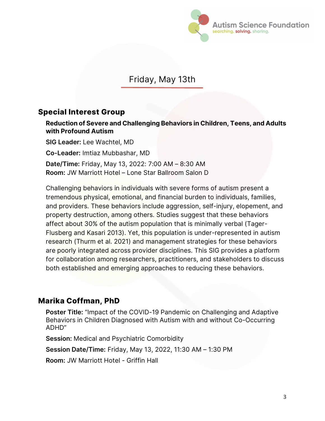

# Friday, May 13th

#### Special Interest Group

Reduction of Severe and Challenging Behaviors in Children, Teens, and Adults with Profound Autism

SIG Leader: Lee Wachtel, MD

Co-Leader: Imtiaz Mubbashar, MD

Date/Time: Friday, May 13, 2022: 7:00 AM – 8:30 AM Room: JW Marriott Hotel – Lone Star Ballroom Salon D

Challenging behaviors in individuals with severe forms of autism present a tremendous physical, emotional, and financial burden to individuals, families, and providers. These behaviors include aggression, self-injury, elopement, and property destruction, among others. Studies suggest that these behaviors affect about 30% of the autism population that is minimally verbal (Tager-Flusberg and Kasari 2013). Yet, this population is under-represented in autism research (Thurm et al. 2021) and management strategies for these behaviors are poorly integrated across provider disciplines. This SIG provides a platform for collaboration among researchers, practitioners, and stakeholders to discuss both established and emerging approaches to reducing these behaviors.

#### Marika Coffman, PhD

Poster Title: "Impact of the COVID-19 Pandemic on Challenging and Adaptive Behaviors in Children Diagnosed with Autism with and without Co-Occurring ADHD"

Session: Medical and Psychiatric Comorbidity

Session Date/Time: Friday, May 13, 2022, 11:30 AM – 1:30 PM

Room: JW Marriott Hotel - Griffin Hall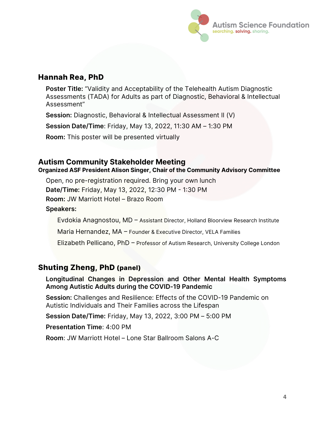

#### Hannah Rea, PhD

Poster Title: "Validity and Acceptability of the Telehealth Autism Diagnostic Assessments (TADA) for Adults as part of Diagnostic, Behavioral & Intellectual Assessment"

Session: Diagnostic, Behavioral & Intellectual Assessment II (V)

Session Date/Time: Friday, May 13, 2022, 11:30 AM – 1:30 PM

Room: This poster will be presented virtually

#### Autism Community Stakeholder Meeting

Organized ASF President Alison Singer, Chair of the Community Advisory Committee

Open, no pre-registration required. Bring your own lunch Date/Time: Friday, May 13, 2022, 12:30 PM - 1:30 PM

Room: JW Marriott Hotel – Brazo Room

Speakers:

Evdokia Anagnostou, MD - Assistant Director, Holland Bloorview Research Institute

Maria Hernandez,  $MA$   $-$  Founder & Executive Director, VELA Families

Elizabeth Pellicano, PhD - Professor of Autism Research, University College London

#### Shuting Zheng, PhD (panel)

Longitudinal Changes in Depression and Other Mental Health Symptoms Among Autistic Adults during the COVID-19 Pandemic

Session: Challenges and Resilience: Effects of the COVID-19 Pandemic on Autistic Individuals and Their Families across the Lifespan

Session Date/Time: Friday, May 13, 2022, 3:00 PM – 5:00 PM

Presentation Time: 4:00 PM

Room: JW Marriott Hotel – Lone Star Ballroom Salons A-C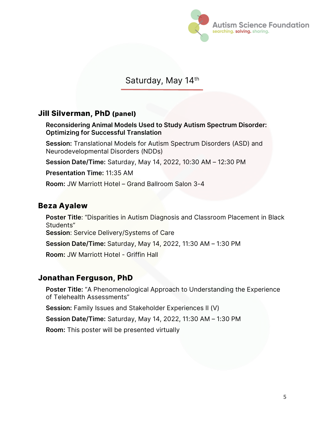

# Saturday, May 14th

#### Jill Silverman, PhD (panel)

Reconsidering Animal Models Used to Study Autism Spectrum Disorder: Optimizing for Successful Translation

Session: Translational Models for Autism Spectrum Disorders (ASD) and Neurodevelopmental Disorders (NDDs)

Session Date/Time: Saturday, May 14, 2022, 10:30 AM – 12:30 PM

Presentation Time: 11:35 AM

Room: JW Marriott Hotel – Grand Ballroom Salon 3-4

#### Beza Ayalew

Poster Title: "Disparities in Autism Diagnosis and Classroom Placement in Black Students" Session: Service Delivery/Systems of Care Session Date/Time: Saturday, May 14, 2022, 11:30 AM – 1:30 PM Room: JW Marriott Hotel - Griffin Hall

#### Jonathan Ferguson, PhD

Poster Title: "A Phenomenological Approach to Understanding the Experience of Telehealth Assessments"

Session: Family Issues and Stakeholder Experiences II (V)

Session Date/Time: Saturday, May 14, 2022, 11:30 AM – 1:30 PM

Room: This poster will be presented virtually